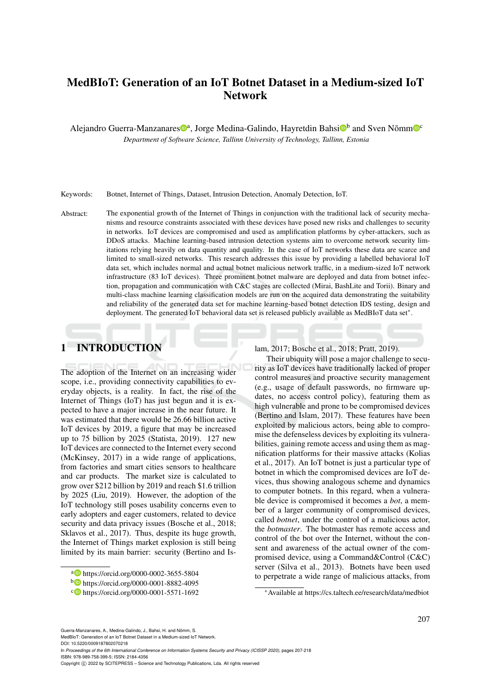# MedBIoT: Generation of an IoT Botnet Dataset in a Medium-sized IoT Network

Alejandro Guerra-Manzanares<sup>®a</sup>, Jorge Medina-Galindo, Hayretdin Bahsi<sup>®b</sup> and Sven Nõmm<sup>®c</sup> *Department of Software Science, Tallinn University of Technology, Tallinn, Estonia*

Keywords: Botnet, Internet of Things, Dataset, Intrusion Detection, Anomaly Detection, IoT.

Abstract: The exponential growth of the Internet of Things in conjunction with the traditional lack of security mechanisms and resource constraints associated with these devices have posed new risks and challenges to security in networks. IoT devices are compromised and used as amplification platforms by cyber-attackers, such as DDoS attacks. Machine learning-based intrusion detection systems aim to overcome network security limitations relying heavily on data quantity and quality. In the case of IoT networks these data are scarce and limited to small-sized networks. This research addresses this issue by providing a labelled behavioral IoT data set, which includes normal and actual botnet malicious network traffic, in a medium-sized IoT network infrastructure (83 IoT devices). Three prominent botnet malware are deployed and data from botnet infection, propagation and communication with C&C stages are collected (Mirai, BashLite and Torii). Binary and multi-class machine learning classification models are run on the acquired data demonstrating the suitability and reliability of the generated data set for machine learning-based botnet detection IDS testing, design and deployment. The generated IoT behavioral data set is released publicly available as MedBIoT data set<sup>∗</sup> .

# 1 INTRODUCTION

The adoption of the Internet on an increasing wider scope, i.e., providing connectivity capabilities to everyday objects, is a reality. In fact, the rise of the Internet of Things (IoT) has just begun and it is expected to have a major increase in the near future. It was estimated that there would be 26.66 billion active IoT devices by 2019, a figure that may be increased up to 75 billion by 2025 (Statista, 2019). 127 new IoT devices are connected to the Internet every second (McKinsey, 2017) in a wide range of applications, from factories and smart cities sensors to healthcare and car products. The market size is calculated to grow over \$212 billion by 2019 and reach \$1.6 trillion by 2025 (Liu, 2019). However, the adoption of the IoT technology still poses usability concerns even to early adopters and eager customers, related to device security and data privacy issues (Bosche et al., 2018; Sklavos et al., 2017). Thus, despite its huge growth, the Internet of Things market explosion is still being limited by its main barrier: security (Bertino and Islam, 2017; Bosche et al., 2018; Pratt, 2019).

Their ubiquity will pose a major challenge to security as IoT devices have traditionally lacked of proper control measures and proactive security management (e.g., usage of default passwords, no firmware updates, no access control policy), featuring them as high vulnerable and prone to be compromised devices (Bertino and Islam, 2017). These features have been exploited by malicious actors, being able to compromise the defenseless devices by exploiting its vulnerabilities, gaining remote access and using them as magnification platforms for their massive attacks (Kolias et al., 2017). An IoT botnet is just a particular type of botnet in which the compromised devices are IoT devices, thus showing analogous scheme and dynamics to computer botnets. In this regard, when a vulnerable device is compromised it becomes a *bot*, a member of a larger community of compromised devices, called *botnet*, under the control of a malicious actor, the *botmaster*. The botmaster has remote access and control of the bot over the Internet, without the consent and awareness of the actual owner of the compromised device, using a Command&Control (C&C) server (Silva et al., 2013). Botnets have been used to perpetrate a wide range of malicious attacks, from

<sup>∗</sup>Available at https://cs.taltech.ee/research/data/medbiot

Guerra-Manzanares, A., Medina-Galindo, J., Bahsi, H. and Nõmm, S. MedBIoT: Generation of an IoT Botnet Dataset in a Medium-sized IoT Network.

DOI: 10.5220/0009187802070218 In *Proceedings of the 6th International Conference on Information Systems Security and Privacy (ICISSP 2020)*, pages 207-218

ISBN: 978-989-758-399-5; ISSN: 2184-4356

a https://orcid.org/0000-0002-3655-5804

<sup>b</sup> https://orcid.org/0000-0001-8882-4095

<sup>c</sup> https://orcid.org/0000-0001-5571-1692

Copyright (C) 2022 by SCITEPRESS - Science and Technology Publications, Lda. All rights reserved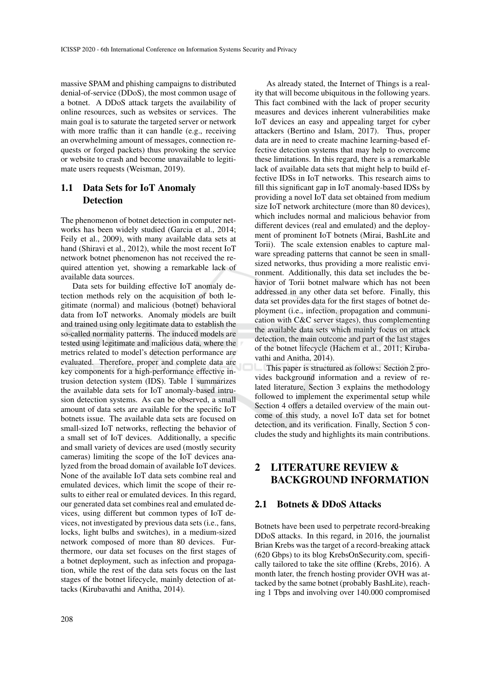massive SPAM and phishing campaigns to distributed denial-of-service (DDoS), the most common usage of a botnet. A DDoS attack targets the availability of online resources, such as websites or services. The main goal is to saturate the targeted server or network with more traffic than it can handle (e.g., receiving an overwhelming amount of messages, connection requests or forged packets) thus provoking the service or website to crash and become unavailable to legitimate users requests (Weisman, 2019).

## 1.1 Data Sets for IoT Anomaly **Detection**

The phenomenon of botnet detection in computer networks has been widely studied (Garcia et al., 2014; Feily et al., 2009), with many available data sets at hand (Shiravi et al., 2012), while the most recent IoT network botnet phenomenon has not received the required attention yet, showing a remarkable lack of available data sources.

Data sets for building effective IoT anomaly detection methods rely on the acquisition of both legitimate (normal) and malicious (botnet) behavioral data from IoT networks. Anomaly models are built and trained using only legitimate data to establish the so-called normality patterns. The induced models are tested using legitimate and malicious data, where the metrics related to model's detection performance are evaluated. Therefore, proper and complete data are key components for a high-performance effective intrusion detection system (IDS). Table 1 summarizes the available data sets for IoT anomaly-based intrusion detection systems. As can be observed, a small amount of data sets are available for the specific IoT botnets issue. The available data sets are focused on small-sized IoT networks, reflecting the behavior of a small set of IoT devices. Additionally, a specific and small variety of devices are used (mostly security cameras) limiting the scope of the IoT devices analyzed from the broad domain of available IoT devices. None of the available IoT data sets combine real and emulated devices, which limit the scope of their results to either real or emulated devices. In this regard, our generated data set combines real and emulated devices, using different but common types of IoT devices, not investigated by previous data sets (i.e., fans, locks, light bulbs and switches), in a medium-sized network composed of more than 80 devices. Furthermore, our data set focuses on the first stages of a botnet deployment, such as infection and propagation, while the rest of the data sets focus on the last stages of the botnet lifecycle, mainly detection of attacks (Kirubavathi and Anitha, 2014).

As already stated, the Internet of Things is a reality that will become ubiquitous in the following years. This fact combined with the lack of proper security measures and devices inherent vulnerabilities make IoT devices an easy and appealing target for cyber attackers (Bertino and Islam, 2017). Thus, proper data are in need to create machine learning-based effective detection systems that may help to overcome these limitations. In this regard, there is a remarkable lack of available data sets that might help to build effective IDSs in IoT networks. This research aims to fill this significant gap in IoT anomaly-based IDSs by providing a novel IoT data set obtained from medium size IoT network architecture (more than 80 devices), which includes normal and malicious behavior from different devices (real and emulated) and the deployment of prominent IoT botnets (Mirai, BashLite and Torii). The scale extension enables to capture malware spreading patterns that cannot be seen in smallsized networks, thus providing a more realistic environment. Additionally, this data set includes the behavior of Torii botnet malware which has not been addressed in any other data set before. Finally, this data set provides data for the first stages of botnet deployment (i.e., infection, propagation and communication with C&C server stages), thus complementing the available data sets which mainly focus on attack detection, the main outcome and part of the last stages of the botnet lifecycle (Hachem et al., 2011; Kirubavathi and Anitha, 2014).

This paper is structured as follows: Section 2 provides background information and a review of related literature, Section 3 explains the methodology followed to implement the experimental setup while Section 4 offers a detailed overview of the main outcome of this study, a novel IoT data set for botnet detection, and its verification. Finally, Section 5 concludes the study and highlights its main contributions.

# 2 LITERATURE REVIEW & BACKGROUND INFORMATION

## 2.1 Botnets & DDoS Attacks

Botnets have been used to perpetrate record-breaking DDoS attacks. In this regard, in 2016, the journalist Brian Krebs was the target of a record-breaking attack (620 Gbps) to its blog KrebsOnSecurity.com, specifically tailored to take the site offline (Krebs, 2016). A month later, the french hosting provider OVH was attacked by the same botnet (probably BashLite), reaching 1 Tbps and involving over 140.000 compromised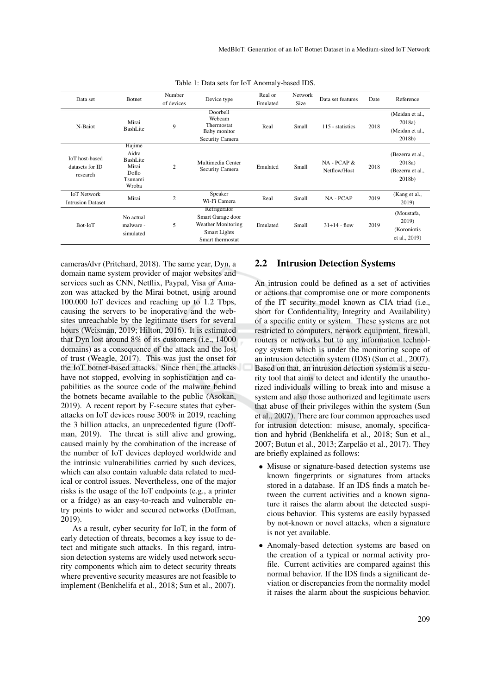| Data set                                             | <b>Botnet</b>                                                     | Number<br>of devices | Device type                                                                                               | Real or<br>Emulated | Network<br>Size | Data set features           | Date | Reference                                                   |
|------------------------------------------------------|-------------------------------------------------------------------|----------------------|-----------------------------------------------------------------------------------------------------------|---------------------|-----------------|-----------------------------|------|-------------------------------------------------------------|
| N-Baiot                                              | Mirai<br>BashLite                                                 | 9                    | Doorbell<br>Webcam<br>Thermostat<br>Baby monitor<br>Security Camera                                       | Real                | Small           | 115 - statistics            | 2018 | (Meidan et al.,<br>2018a)<br>(Meidan et al.,<br>$2018b$ )   |
| <b>IoT</b> host-based<br>datasets for ID<br>research | Hajime<br>Aidra<br>BashLite<br>Mirai<br>Doflo<br>Tsunami<br>Wroba | $\overline{2}$       | Multimedia Center<br>Security Camera                                                                      | Emulated            | Small           | NA - PCAP &<br>Netflow/Host | 2018 | (Bezerra et al.,<br>2018a)<br>(Bezerra et al.,<br>$2018b$ ) |
| <b>IoT</b> Network<br><b>Intrusion Dataset</b>       | Mirai                                                             | $\overline{2}$       | Speaker<br>Wi-Fi Camera                                                                                   | Real                | Small           | NA - PCAP                   | 2019 | (Kang et al.,<br>2019)                                      |
| Bot-IoT                                              | No actual<br>malware -<br>simulated                               | 5                    | Refrigerator<br>Smart Garage door<br><b>Weather Monitoring</b><br><b>Smart Lights</b><br>Smart thermostat | Emulated            | Small           | $31 + 14$ - flow            | 2019 | (Moustafa,<br>2019)<br>(Koroniotis<br>et al., 2019)         |

Table 1: Data sets for IoT Anomaly-based IDS.

cameras/dvr (Pritchard, 2018). The same year, Dyn, a domain name system provider of major websites and services such as CNN, Netflix, Paypal, Visa or Amazon was attacked by the Mirai botnet, using around 100.000 IoT devices and reaching up to 1.2 Tbps, causing the servers to be inoperative and the websites unreachable by the legitimate users for several hours (Weisman, 2019; Hilton, 2016). It is estimated that Dyn lost around 8% of its customers (i.e., 14000 domains) as a consequence of the attack and the lost of trust (Weagle, 2017). This was just the onset for the IoT botnet-based attacks. Since then, the attacks have not stopped, evolving in sophistication and capabilities as the source code of the malware behind the botnets became available to the public (Asokan, 2019). A recent report by F-secure states that cyberattacks on IoT devices rouse 300% in 2019, reaching the 3 billion attacks, an unprecedented figure (Doffman, 2019). The threat is still alive and growing, caused mainly by the combination of the increase of the number of IoT devices deployed worldwide and the intrinsic vulnerabilities carried by such devices, which can also contain valuable data related to medical or control issues. Nevertheless, one of the major risks is the usage of the IoT endpoints (e.g., a printer or a fridge) as an easy-to-reach and vulnerable entry points to wider and secured networks (Doffman, 2019).

As a result, cyber security for IoT, in the form of early detection of threats, becomes a key issue to detect and mitigate such attacks. In this regard, intrusion detection systems are widely used network security components which aim to detect security threats where preventive security measures are not feasible to implement (Benkhelifa et al., 2018; Sun et al., 2007).

### 2.2 Intrusion Detection Systems

An intrusion could be defined as a set of activities or actions that compromise one or more components of the IT security model known as CIA triad (i.e., short for Confidentiality, Integrity and Availability) of a specific entity or system. These systems are not restricted to computers, network equipment, firewall, routers or networks but to any information technology system which is under the monitoring scope of an intrusion detection system (IDS) (Sun et al., 2007). Based on that, an intrusion detection system is a security tool that aims to detect and identify the unauthorized individuals willing to break into and misuse a system and also those authorized and legitimate users that abuse of their privileges within the system (Sun et al., 2007). There are four common approaches used for intrusion detection: misuse, anomaly, specification and hybrid (Benkhelifa et al., 2018; Sun et al., 2007; Butun et al., 2013; Zarpelão et al., 2017). They are briefly explained as follows:

- Misuse or signature-based detection systems use known fingerprints or signatures from attacks stored in a database. If an IDS finds a match between the current activities and a known signature it raises the alarm about the detected suspicious behavior. This systems are easily bypassed by not-known or novel attacks, when a signature is not yet available.
- Anomaly-based detection systems are based on the creation of a typical or normal activity profile. Current activities are compared against this normal behavior. If the IDS finds a significant deviation or discrepancies from the normality model it raises the alarm about the suspicious behavior.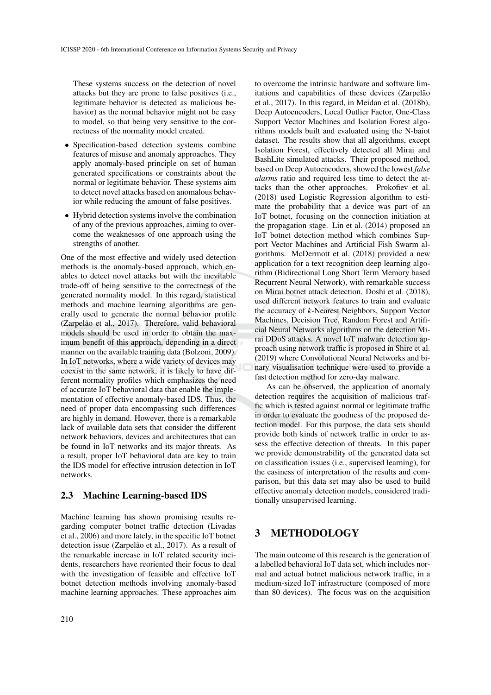These systems success on the detection of novel attacks but they are prone to false positives (i.e., legitimate behavior is detected as malicious behavior) as the normal behavior might not be easy to model, so that being very sensitive to the correctness of the normality model created.

- Specification-based detection systems combine features of misuse and anomaly approaches. They apply anomaly-based principle on set of human generated specifications or constraints about the normal or legitimate behavior. These systems aim to detect novel attacks based on anomalous behavior while reducing the amount of false positives.
- Hybrid detection systems involve the combination of any of the previous approaches, aiming to overcome the weaknesses of one approach using the strengths of another.

One of the most effective and widely used detection methods is the anomaly-based approach, which enables to detect novel attacks but with the inevitable trade-off of being sensitive to the correctness of the generated normality model. In this regard, statistical methods and machine learning algorithms are generally used to generate the normal behavior profile (Zarpelão et al., 2017). Therefore, valid behavioral models should be used in order to obtain the maximum benefit of this approach, depending in a direct manner on the available training data (Bolzoni, 2009). In IoT networks, where a wide variety of devices may coexist in the same network, it is likely to have different normality profiles which emphasizes the need of accurate IoT behavioral data that enable the implementation of effective anomaly-based IDS. Thus, the need of proper data encompassing such differences are highly in demand. However, there is a remarkable lack of available data sets that consider the different network behaviors, devices and architectures that can be found in IoT networks and its major threats. As a result, proper IoT behavioral data are key to train the IDS model for effective intrusion detection in IoT networks.

#### 2.3 Machine Learning-based IDS

Machine learning has shown promising results regarding computer botnet traffic detection (Livadas et al., 2006) and more lately, in the specific IoT botnet detection issue (Zarpelão et al., 2017). As a result of the remarkable increase in IoT related security incidents, researchers have reoriented their focus to deal with the investigation of feasible and effective IoT botnet detection methods involving anomaly-based machine learning approaches. These approaches aim

to overcome the intrinsic hardware and software limitations and capabilities of these devices (Zarpelão et al., 2017). In this regard, in Meidan et al. (2018b), Deep Autoencoders, Local Outlier Factor, One-Class Support Vector Machines and Isolation Forest algorithms models built and evaluated using the N-baiot dataset. The results show that all algorithms, except Isolation Forest, effectively detected all Mirai and BashLite simulated attacks. Their proposed method, based on Deep Autoencoders, showed the lowest *false alarms* ratio and required less time to detect the attacks than the other approaches. Prokofiev et al. (2018) used Logistic Regression algorithm to estimate the probability that a device was part of an IoT botnet, focusing on the connection initiation at the propagation stage. Lin et al. (2014) proposed an IoT botnet detection method which combines Support Vector Machines and Artificial Fish Swarm algorithms. McDermott et al. (2018) provided a new application for a text recognition deep learning algorithm (Bidirectional Long Short Term Memory based Recurrent Neural Network), with remarkable success on Mirai botnet attack detection. Doshi et al. (2018), used different network features to train and evaluate the accuracy of *k*-Nearest Neighbors, Support Vector Machines, Decision Tree, Random Forest and Artificial Neural Networks algorithms on the detection Mirai DDoS attacks. A novel IoT malware detection approach using network traffic is proposed in Shire et al. (2019) where Convolutional Neural Networks and binary visualisation technique were used to provide a fast detection method for zero-day malware.

As can be observed, the application of anomaly detection requires the acquisition of malicious traffic which is tested against normal or legitimate traffic in order to evaluate the goodness of the proposed detection model. For this purpose, the data sets should provide both kinds of network traffic in order to assess the effective detection of threats. In this paper we provide demonstrability of the generated data set on classification issues (i.e., supervised learning), for the easiness of interpretation of the results and comparison, but this data set may also be used to build effective anomaly detection models, considered traditionally unsupervised learning.

## 3 METHODOLOGY

The main outcome of this research is the generation of a labelled behavioral IoT data set, which includes normal and actual botnet malicious network traffic, in a medium-sized IoT infrastructure (composed of more than 80 devices). The focus was on the acquisition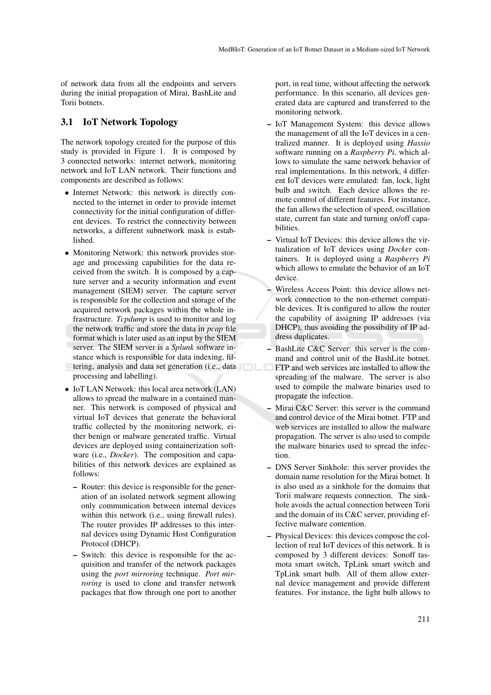of network data from all the endpoints and servers during the initial propagation of Mirai, BashLite and Torii botnets.

### 3.1 IoT Network Topology

The network topology created for the purpose of this study is provided in Figure 1. It is composed by 3 connected networks: internet network, monitoring network and IoT LAN network. Their functions and components are described as follows:

- Internet Network: this network is directly connected to the internet in order to provide internet connectivity for the initial configuration of different devices. To restrict the connectivity between networks, a different subnetwork mask is established.
- Monitoring Network: this network provides storage and processing capabilities for the data received from the switch. It is composed by a capture server and a security information and event management (SIEM) server. The capture server is responsible for the collection and storage of the acquired network packages within the whole infrastructure. *Tcpdump* is used to monitor and log the network traffic and store the data in *pcap* file format which is later used as an input by the SIEM server. The SIEM server is a *Splunk* software instance which is responsible for data indexing, filtering, analysis and data set generation (i.e., data processing and labelling).
- IoT LAN Network: this local area network (LAN) allows to spread the malware in a contained manner. This network is composed of physical and virtual IoT devices that generate the behavioral traffic collected by the monitoring network, either benign or malware generated traffic. Virtual devices are deployed using containerization software (i.e., *Docker*). The composition and capabilities of this network devices are explained as follows:
	- Router: this device is responsible for the generation of an isolated network segment allowing only communication between internal devices within this network (i.e., using firewall rules). The router provides IP addresses to this internal devices using Dynamic Host Configuration Protocol (DHCP).
	- Switch: this device is responsible for the acquisition and transfer of the network packages using the *port mirroring* technique. *Port mirroring* is used to clone and transfer network packages that flow through one port to another

port, in real time, without affecting the network performance. In this scenario, all devices generated data are captured and transferred to the monitoring network.

- IoT Management System: this device allows the management of all the IoT devices in a centralized manner. It is deployed using *Hassio* software running on a *Raspberry Pi*, which allows to simulate the same network behavior of real implementations. In this network, 4 different IoT devices were emulated: fan, lock, light bulb and switch. Each device allows the remote control of different features. For instance, the fan allows the selection of speed, oscillation state, current fan state and turning on/off capabilities.
- Virtual IoT Devices: this device allows the virtualization of IoT devices using *Docker* containers. It is deployed using a *Raspberry Pi* which allows to emulate the behavior of an IoT device.
- Wireless Access Point: this device allows network connection to the non-ethernet compatible devices. It is configured to allow the router the capability of assigning IP addresses (via DHCP), thus avoiding the possibility of IP address duplicates.
- BashLite C&C Server: this server is the command and control unit of the BashLite botnet. FTP and web services are installed to allow the spreading of the malware. The server is also used to compile the malware binaries used to propagate the infection.
- Mirai C&C Server: this server is the command and control device of the Mirai botnet. FTP and web services are installed to allow the malware propagation. The server is also used to compile the malware binaries used to spread the infection.
- DNS Server Sinkhole: this server provides the domain name resolution for the Mirai botnet. It is also used as a sinkhole for the domains that Torii malware requests connection. The sinkhole avoids the actual connection between Torii and the domain of its C&C server, providing effective malware contention.
- Physical Devices: this devices compose the collection of real IoT devices of this network. It is composed by 3 different devices: Sonoff tasmota smart switch, TpLink smart switch and TpLink smart bulb. All of them allow external device management and provide different features. For instance, the light bulb allows to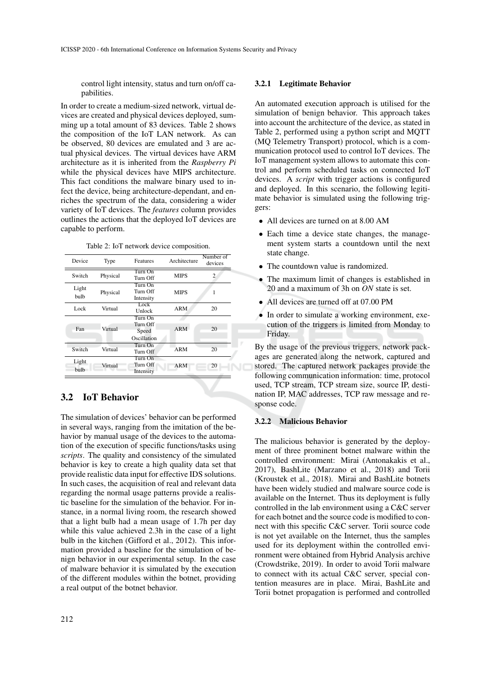control light intensity, status and turn on/off capabilities.

In order to create a medium-sized network, virtual devices are created and physical devices deployed, summing up a total amount of 83 devices. Table 2 shows the composition of the IoT LAN network. As can be observed, 80 devices are emulated and 3 are actual physical devices. The virtual devices have ARM architecture as it is inherited from the *Raspberry Pi* while the physical devices have MIPS architecture. This fact conditions the malware binary used to infect the device, being architecture-dependant, and enriches the spectrum of the data, considering a wider variety of IoT devices. The *features* column provides outlines the actions that the deployed IoT devices are capable to perform.

Table 2: IoT network device composition.

| Device        | Type     | Features                                    | Architecture | Number of<br>devices |
|---------------|----------|---------------------------------------------|--------------|----------------------|
| Switch        | Physical | Turn On<br>Turn Off                         | <b>MIPS</b>  | 2                    |
| Light<br>bulb | Physical | Turn On<br>Turn Off<br>Intensity            | <b>MIPS</b>  | 1                    |
| Lock          | Virtual  | Lock<br>Unlock                              |              | 20                   |
| Fan           | Virtual  | Turn On<br>Turn Off<br>Speed<br>Oscillation | <b>ARM</b>   | 20                   |
| Switch        | Virtual  | Turn On<br>Turn Off                         | ARM          | 20                   |
| Light<br>bulb | Virtual  | Turn On<br>Turn Off<br>Intensity            | <b>ARM</b>   | 20                   |

## 3.2 IoT Behavior

The simulation of devices' behavior can be performed in several ways, ranging from the imitation of the behavior by manual usage of the devices to the automation of the execution of specific functions/tasks using *scripts*. The quality and consistency of the simulated behavior is key to create a high quality data set that provide realistic data input for effective IDS solutions. In such cases, the acquisition of real and relevant data regarding the normal usage patterns provide a realistic baseline for the simulation of the behavior. For instance, in a normal living room, the research showed that a light bulb had a mean usage of 1.7h per day while this value achieved 2.3h in the case of a light bulb in the kitchen (Gifford et al., 2012). This information provided a baseline for the simulation of benign behavior in our experimental setup. In the case of malware behavior it is simulated by the execution of the different modules within the botnet, providing a real output of the botnet behavior.

#### 3.2.1 Legitimate Behavior

An automated execution approach is utilised for the simulation of benign behavior. This approach takes into account the architecture of the device, as stated in Table 2, performed using a python script and MQTT (MQ Telemetry Transport) protocol, which is a communication protocol used to control IoT devices. The IoT management system allows to automate this control and perform scheduled tasks on connected IoT devices. A *script* with trigger actions is configured and deployed. In this scenario, the following legitimate behavior is simulated using the following triggers:

- All devices are turned on at 8.00 AM
- Each time a device state changes, the management system starts a countdown until the next state change.
- The countdown value is randomized.
- The maximum limit of changes is established in 20 and a maximum of 3h on *ON* state is set.
- All devices are turned off at 07.00 PM
- In order to simulate a working environment, execution of the triggers is limited from Monday to Friday.

By the usage of the previous triggers, network packages are generated along the network, captured and stored. The captured network packages provide the following communication information: time, protocol used, TCP stream, TCP stream size, source IP, destination IP, MAC addresses, TCP raw message and response code.

#### 3.2.2 Malicious Behavior

The malicious behavior is generated by the deployment of three prominent botnet malware within the controlled environment: Mirai (Antonakakis et al., 2017), BashLite (Marzano et al., 2018) and Torii (Kroustek et al., 2018). Mirai and BashLite botnets have been widely studied and malware source code is available on the Internet. Thus its deployment is fully controlled in the lab environment using a C&C server for each botnet and the source code is modified to connect with this specific C&C server. Torii source code is not yet available on the Internet, thus the samples used for its deployment within the controlled environment were obtained from Hybrid Analysis archive (Crowdstrike, 2019). In order to avoid Torii malware to connect with its actual C&C server, special contention measures are in place. Mirai, BashLite and Torii botnet propagation is performed and controlled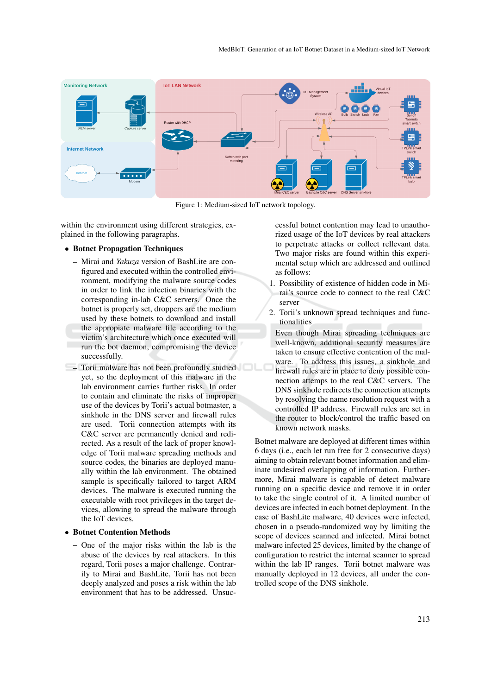

Figure 1: Medium-sized IoT network topology.

within the environment using different strategies, explained in the following paragraphs.

#### • Botnet Propagation Techniques

- Mirai and *Yakuza* version of BashLite are configured and executed within the controlled environment, modifying the malware source codes in order to link the infection binaries with the corresponding in-lab C&C servers. Once the botnet is properly set, droppers are the medium used by these botnets to download and install the appropiate malware file according to the victim's architecture which once executed will run the bot daemon, compromising the device successfully.
- Torii malware has not been profoundly studied yet, so the deployment of this malware in the lab environment carries further risks. In order to contain and eliminate the risks of improper use of the devices by Torii's actual botmaster, a sinkhole in the DNS server and firewall rules are used. Torii connection attempts with its C&C server are permanently denied and redirected. As a result of the lack of proper knowledge of Torii malware spreading methods and source codes, the binaries are deployed manually within the lab environment. The obtained sample is specifically tailored to target ARM devices. The malware is executed running the executable with root privileges in the target devices, allowing to spread the malware through the IoT devices.

#### • Botnet Contention Methods

– One of the major risks within the lab is the abuse of the devices by real attackers. In this regard, Torii poses a major challenge. Contrarily to Mirai and BashLite, Torii has not been deeply analyzed and poses a risk within the lab environment that has to be addressed. Unsuccessful botnet contention may lead to unauthorized usage of the IoT devices by real attackers to perpetrate attacks or collect rellevant data. Two major risks are found within this experimental setup which are addressed and outlined as follows:

- 1. Possibility of existence of hidden code in Mirai's source code to connect to the real C&C server
- 2. Torii's unknown spread techniques and functionalities

Even though Mirai spreading techniques are well-known, additional security measures are taken to ensure effective contention of the malware. To address this issues, a sinkhole and firewall rules are in place to deny possible connection attemps to the real C&C servers. The DNS sinkhole redirects the connection attempts by resolving the name resolution request with a controlled IP address. Firewall rules are set in the router to block/control the traffic based on known network masks.

Botnet malware are deployed at different times within 6 days (i.e., each let run free for 2 consecutive days) aiming to obtain relevant botnet information and eliminate undesired overlapping of information. Furthermore, Mirai malware is capable of detect malware running on a specific device and remove it in order to take the single control of it. A limited number of devices are infected in each botnet deployment. In the case of BashLite malware, 40 devices were infected, chosen in a pseudo-randomized way by limiting the scope of devices scanned and infected. Mirai botnet malware infected 25 devices, limited by the change of configuration to restrict the internal scanner to spread within the lab IP ranges. Torii botnet malware was manually deployed in 12 devices, all under the controlled scope of the DNS sinkhole.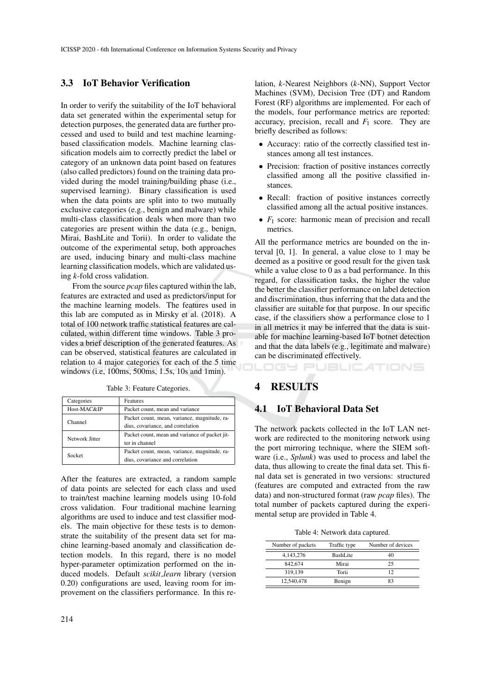## 3.3 IoT Behavior Verification

In order to verify the suitability of the IoT behavioral data set generated within the experimental setup for detection purposes, the generated data are further processed and used to build and test machine learningbased classification models. Machine learning classification models aim to correctly predict the label or category of an unknown data point based on features (also called predictors) found on the training data provided during the model training/building phase (i.e., supervised learning). Binary classification is used when the data points are split into to two mutually exclusive categories (e.g., benign and malware) while multi-class classification deals when more than two categories are present within the data (e.g., benign, Mirai, BashLite and Torii). In order to validate the outcome of the experimental setup, both approaches are used, inducing binary and multi-class machine learning classification models, which are validated using *k*-fold cross validation.

From the source *pcap* files captured within the lab, features are extracted and used as predictors/input for the machine learning models. The features used in this lab are computed as in Mirsky et al. (2018). A total of 100 network traffic statistical features are calculated, within different time windows. Table 3 provides a brief description of the generated features. As can be observed, statistical features are calculated in relation to 4 major categories for each of the 5 time windows (i.e, 100ms, 500ms, 1.5s, 10s and 1min).

| Categories     | Features                                       |  |  |
|----------------|------------------------------------------------|--|--|
| Host-MAC&IP    | Packet count, mean and variance                |  |  |
| Channel        | Packet count, mean, variance, magnitude, ra-   |  |  |
|                | dius, covariance, and correlation              |  |  |
| Network Jitter | Packet count, mean and variance of packet jit- |  |  |
|                | ter in channel                                 |  |  |
| Socket         | Packet count, mean, variance, magnitude, ra-   |  |  |
|                | dius, covariance and correlation               |  |  |

Table 3: Feature Categories.

After the features are extracted, a random sample of data points are selected for each class and used to train/test machine learning models using 10-fold cross validation. Four traditional machine learning algorithms are used to induce and test classifier models. The main objective for these tests is to demonstrate the suitability of the present data set for machine learning-based anomaly and classification detection models. In this regard, there is no model hyper-parameter optimization performed on the induced models. Default *scikit learn* library (version 0.20) configurations are used, leaving room for improvement on the classifiers performance. In this re-

lation, *k*-Nearest Neighbors (*k*-NN), Support Vector Machines (SVM), Decision Tree (DT) and Random Forest (RF) algorithms are implemented. For each of the models, four performance metrics are reported: accuracy, precision, recall and  $F_1$  score. They are briefly described as follows:

- Accuracy: ratio of the correctly classified test instances among all test instances.
- Precision: fraction of positive instances correctly classified among all the positive classified instances.
- Recall: fraction of positive instances correctly classified among all the actual positive instances.
- $F_1$  score: harmonic mean of precision and recall metrics.

All the performance metrics are bounded on the interval [0, 1]. In general, a value close to 1 may be deemed as a positive or good result for the given task while a value close to 0 as a bad performance. In this regard, for classification tasks, the higher the value the better the classifier performance on label detection and discrimination, thus inferring that the data and the classifier are suitable for that purpose. In our specific case, if the classifiers show a performance close to 1 in all metrics it may be inferred that the data is suitable for machine learning-based IoT botnet detection and that the data labels (e.g., legitimate and malware) can be discriminated effectively.

#### IGY PUBLIC ATIONS

## **RESULTS**

### 4.1 IoT Behavioral Data Set

The network packets collected in the IoT LAN network are redirected to the monitoring network using the port mirroring technique, where the SIEM software (i.e., *Splunk*) was used to process and label the data, thus allowing to create the final data set. This final data set is generated in two versions: structured (features are computed and extracted from the raw data) and non-structured format (raw *pcap* files). The total number of packets captured during the experimental setup are provided in Table 4.

Table 4: Network data captured.

| Number of packets | Traffic type | Number of devices |
|-------------------|--------------|-------------------|
| 4,143,276         | BashLite     | 40                |
| 842,674           | Mirai        | 25                |
| 319,139           | Torii        | 12                |
| 12,540,478        | Benign       | 83                |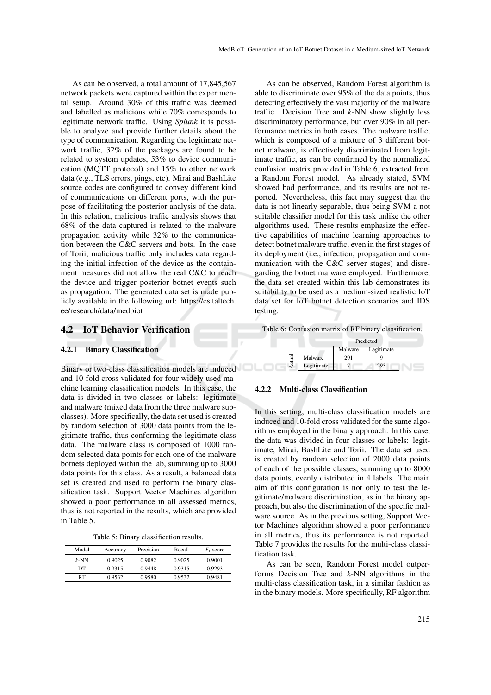As can be observed, a total amount of 17,845,567 network packets were captured within the experimental setup. Around 30% of this traffic was deemed and labelled as malicious while 70% corresponds to legitimate network traffic. Using *Splunk* it is possible to analyze and provide further details about the type of communication. Regarding the legitimate network traffic, 32% of the packages are found to be related to system updates, 53% to device communication (MQTT protocol) and 15% to other network data (e.g., TLS errors, pings, etc). Mirai and BashLite source codes are configured to convey different kind of communications on different ports, with the purpose of facilitating the posterior analysis of the data. In this relation, malicious traffic analysis shows that 68% of the data captured is related to the malware propagation activity while 32% to the communication between the C&C servers and bots. In the case of Torii, malicious traffic only includes data regarding the initial infection of the device as the containment measures did not allow the real C&C to reach the device and trigger posterior botnet events such as propagation. The generated data set is made publicly available in the following url: https://cs.taltech. ee/research/data/medbiot

### 4.2 IoT Behavior Verification

#### 4.2.1 Binary Classification

Binary or two-class classification models are induced and 10-fold cross validated for four widely used machine learning classification models. In this case, the data is divided in two classes or labels: legitimate and malware (mixed data from the three malware subclasses). More specifically, the data set used is created by random selection of 3000 data points from the legitimate traffic, thus conforming the legitimate class data. The malware class is composed of 1000 random selected data points for each one of the malware botnets deployed within the lab, summing up to 3000 data points for this class. As a result, a balanced data set is created and used to perform the binary classification task. Support Vector Machines algorithm showed a poor performance in all assessed metrics, thus is not reported in the results, which are provided in Table 5.

Table 5: Binary classification results.

| Model   | Accuracy | Precision | Recall | $F_1$ score |
|---------|----------|-----------|--------|-------------|
| $k$ -NN | 0.9025   | 0.9082    | 0.9025 | 0.9001      |
| DТ      | 0.9315   | 0.9448    | 0.9315 | 0.9293      |
| RF      | 0.9532   | 0.9580    | 0.9532 | 0.9481      |

As can be observed, Random Forest algorithm is able to discriminate over 95% of the data points, thus detecting effectively the vast majority of the malware traffic. Decision Tree and *k*-NN show slightly less discriminatory performance, but over 90% in all performance metrics in both cases. The malware traffic, which is composed of a mixture of 3 different botnet malware, is effectively discriminated from legitimate traffic, as can be confirmed by the normalized confusion matrix provided in Table 6, extracted from a Random Forest model. As already stated, SVM showed bad performance, and its results are not reported. Nevertheless, this fact may suggest that the data is not linearly separable, thus being SVM a not suitable classifier model for this task unlike the other algorithms used. These results emphasize the effective capabilities of machine learning approaches to detect botnet malware traffic, even in the first stages of its deployment (i.e., infection, propagation and communication with the C&C server stages) and disregarding the botnet malware employed. Furthermore, the data set created within this lab demonstrates its suitability to be used as a medium-sized realistic IoT data set for IoT botnet detection scenarios and IDS testing.

Table 6: Confusion matrix of RF binary classification.

|            | Predicted       |            |  |
|------------|-----------------|------------|--|
|            | Malware         | Legitimate |  |
| Malware    | 7Q <sub>1</sub> |            |  |
| Legitimate |                 | 793        |  |

#### 4.2.2 Multi-class Classification

In this setting, multi-class classification models are induced and 10-fold cross validated for the same algorithms employed in the binary approach. In this case, the data was divided in four classes or labels: legitimate, Mirai, BashLite and Torii. The data set used is created by random selection of 2000 data points of each of the possible classes, summing up to 8000 data points, evenly distributed in 4 labels. The main aim of this configuration is not only to test the legitimate/malware discrimination, as in the binary approach, but also the discrimination of the specific malware source. As in the previous setting, Support Vector Machines algorithm showed a poor performance in all metrics, thus its performance is not reported. Table 7 provides the results for the multi-class classification task.

As can be seen, Random Forest model outperforms Decision Tree and *k*-NN algorithms in the multi-class classification task, in a similar fashion as in the binary models. More specifically, RF algorithm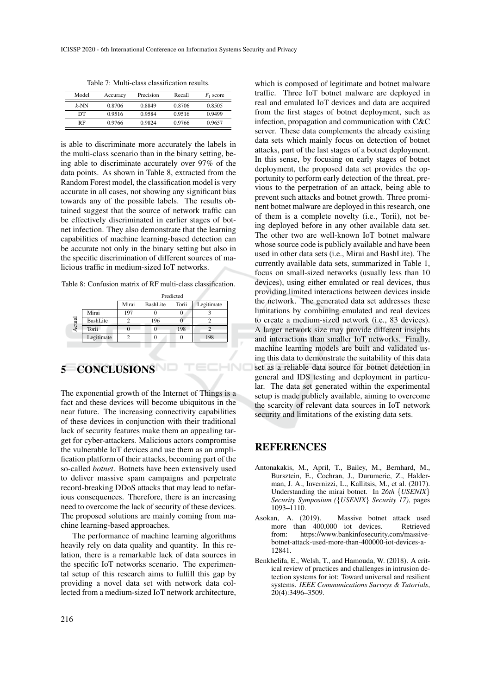| Model   | Accuracy | Precision | Recall | $F_1$ score |
|---------|----------|-----------|--------|-------------|
| $k$ -NN | 0.8706   | 0.8849    | 0.8706 | 0.8505      |
| DТ      | 0.9516   | 0.9584    | 0.9516 | 0.9499      |
| RF      | 0.9766   | 0.9824    | 0.9766 | 0.9657      |

Table 7: Multi-class classification results.

is able to discriminate more accurately the labels in the multi-class scenario than in the binary setting, being able to discriminate accurately over 97% of the data points. As shown in Table 8, extracted from the Random Forest model, the classification model is very accurate in all cases, not showing any significant bias towards any of the possible labels. The results obtained suggest that the source of network traffic can be effectively discriminated in earlier stages of botnet infection. They also demonstrate that the learning capabilities of machine learning-based detection can be accurate not only in the binary setting but also in the specific discrimination of different sources of malicious traffic in medium-sized IoT networks.

Table 8: Confusion matrix of RF multi-class classification.

|        |            | Predicted |                 |       |            |  |
|--------|------------|-----------|-----------------|-------|------------|--|
|        |            | Mirai     | <b>BashLite</b> | Torii | Legitimate |  |
|        | Mirai      | 197       |                 | O     |            |  |
| Actual | BashLite   |           | 196             |       |            |  |
|        | Torii      |           |                 | 198   |            |  |
|        | Legitimate |           |                 |       | 198        |  |

# 5 CONCLUSIONS

The exponential growth of the Internet of Things is a fact and these devices will become ubiquitous in the near future. The increasing connectivity capabilities of these devices in conjunction with their traditional lack of security features make them an appealing target for cyber-attackers. Malicious actors compromise the vulnerable IoT devices and use them as an amplification platform of their attacks, becoming part of the so-called *botnet*. Botnets have been extensively used to deliver massive spam campaigns and perpetrate record-breaking DDoS attacks that may lead to nefarious consequences. Therefore, there is an increasing need to overcome the lack of security of these devices. The proposed solutions are mainly coming from machine learning-based approaches.

The performance of machine learning algorithms heavily rely on data quality and quantity. In this relation, there is a remarkable lack of data sources in the specific IoT networks scenario. The experimental setup of this research aims to fulfill this gap by providing a novel data set with network data collected from a medium-sized IoT network architecture,

which is composed of legitimate and botnet malware traffic. Three IoT botnet malware are deployed in real and emulated IoT devices and data are acquired from the first stages of botnet deployment, such as infection, propagation and communication with C&C server. These data complements the already existing data sets which mainly focus on detection of botnet attacks, part of the last stages of a botnet deployment. In this sense, by focusing on early stages of botnet deployment, the proposed data set provides the opportunity to perform early detection of the threat, previous to the perpetration of an attack, being able to prevent such attacks and botnet growth. Three prominent botnet malware are deployed in this research, one of them is a complete novelty (i.e., Torii), not being deployed before in any other available data set. The other two are well-known IoT botnet malware whose source code is publicly available and have been used in other data sets (i.e., Mirai and BashLite). The currently available data sets, summarized in Table 1, focus on small-sized networks (usually less than 10 devices), using either emulated or real devices, thus providing limited interactions between devices inside the network. The generated data set addresses these limitations by combining emulated and real devices to create a medium-sized network (i.e., 83 devices). A larger network size may provide different insights and interactions than smaller IoT networks. Finally, machine learning models are built and validated using this data to demonstrate the suitability of this data set as a reliable data source for botnet detection in general and IDS testing and deployment in particular. The data set generated within the experimental setup is made publicly available, aiming to overcome the scarcity of relevant data sources in IoT network security and limitations of the existing data sets.

## **REFERENCES**

- Antonakakis, M., April, T., Bailey, M., Bernhard, M., Bursztein, E., Cochran, J., Durumeric, Z., Halderman, J. A., Invernizzi, L., Kallitsis, M., et al. (2017). Understanding the mirai botnet. In *26th* {*USENIX*} *Security Symposium (*{*USENIX*} *Security 17)*, pages 1093–1110.
- Asokan, A. (2019). Massive botnet attack used<br>more than 400,000 iot devices. Retrieved more than 400,000 iot devices. from: https://www.bankinfosecurity.com/massivebotnet-attack-used-more-than-400000-iot-devices-a-12841.
- Benkhelifa, E., Welsh, T., and Hamouda, W. (2018). A critical review of practices and challenges in intrusion detection systems for iot: Toward universal and resilient systems. *IEEE Communications Surveys & Tutorials*, 20(4):3496–3509.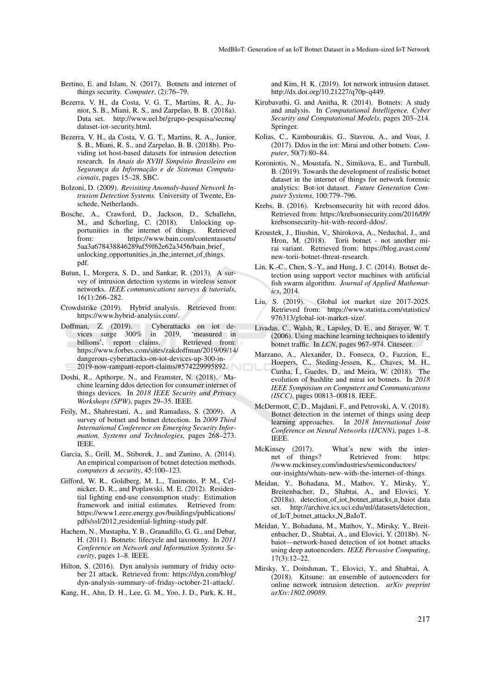- Bertino, E. and Islam, N. (2017). Botnets and internet of things security. *Computer*, (2):76–79.
- Bezerra, V. H., da Costa, V. G. T., Martins, R. A., Junior, S. B., Miani, R. S., and Zarpelao, B. B. (2018a). Data set. http://www.uel.br/grupo-pesquisa/secmq/ dataset-iot-security.html.
- Bezerra, V. H., da Costa, V. G. T., Martins, R. A., Junior, S. B., Miani, R. S., and Zarpelao, B. B. (2018b). Providing iot host-based datasets for intrusion detection research. In *Anais do XVIII Simposio Brasileiro em ´*  $Sequranca da Informacão e de Sistemas Computa$ *cionais*, pages 15–28. SBC.
- Bolzoni, D. (2009). *Revisiting Anomaly-based Network Intrusion Detection Systems.* University of Twente, Enschede, Netherlands.
- Bosche, A., Crawford, D., Jackson, D., Schallehn, M., and Schorling, C.  $(2018)$ . portunities in the internet of things. Retrieved<br>from: https://www.bain.com/contentassets/ https://www.bain.com/contentassets/ 5aa3a678438846289af59f62e62a3456/bain brief unlocking opportunities in the internet of things. pdf.
- Butun, I., Morgera, S. D., and Sankar, R. (2013). A survey of intrusion detection systems in wireless sensor networks. *IEEE communications surveys & tutorials*, 16(1):266–282.
- Crowdstrike (2019). Hybrid analysis. Retrieved from: https://www.hybrid-analysis.com/.
- Doffman, Z. (2019). Cyberattacks on iot devices surge 300% in 2019, 'measured in vices surge 300% in 2019, 'measured in billions', report claims. Retrieved from: billions', report claims. https://www.forbes.com/sites/zakdoffman/2019/09/14/ dangerous-cyberattacks-on-iot-devices-up-300-in-2019-now-rampant-report-claims/#574229995892.
- Doshi, R., Apthorpe, N., and Feamster, N. (2018). Machine learning ddos detection for consumer internet of things devices. In *2018 IEEE Security and Privacy Workshops (SPW)*, pages 29–35. IEEE.
- Feily, M., Shahrestani, A., and Ramadass, S. (2009). A survey of botnet and botnet detection. In *2009 Third International Conference on Emerging Security Information, Systems and Technologies*, pages 268–273. IEEE.
- Garcia, S., Grill, M., Stiborek, J., and Zunino, A. (2014). An empirical comparison of botnet detection methods. *computers & security*, 45:100–123.
- Gifford, W. R., Goldberg, M. L., Tanimoto, P. M., Celnicker, D. R., and Poplawski, M. E. (2012). Residential lighting end-use consumption study: Estimation framework and initial estimates. Retrieved from: https://www1.eere.energy.gov/buildings/publications/ pdfs/ssl/2012 residential-lighting-study.pdf.
- Hachem, N., Mustapha, Y. B., Granadillo, G. G., and Debar, H. (2011). Botnets: lifecycle and taxonomy. In *2011 Conference on Network and Information Systems Security*, pages 1–8. IEEE.
- Hilton, S. (2016). Dyn analysis summary of friday october 21 attack. Retrieved from: https://dyn.com/blog/ dyn-analysis-summary-of-friday-october-21-attack/.
- Kang, H., Ahn, D. H., Lee, G. M., Yoo, J. D., Park, K. H.,

and Kim, H. K. (2019). Iot network intrusion dataset. http://dx.doi.org/10.21227/q70p-q449.

- Kirubavathi, G. and Anitha, R. (2014). Botnets: A study and analysis. In *Computational Intelligence, Cyber Security and Computational Models*, pages 203–214. Springer.
- Kolias, C., Kambourakis, G., Stavrou, A., and Voas, J. (2017). Ddos in the iot: Mirai and other botnets. *Computer*, 50(7):80–84.
- Koroniotis, N., Moustafa, N., Sitnikova, E., and Turnbull, B. (2019). Towards the development of realistic botnet dataset in the internet of things for network forensic analytics: Bot-iot dataset. *Future Generation Computer Systems*, 100:779–796.
- Krebs, B. (2016). Krebsonsecurity hit with record ddos. Retrieved from: https://krebsonsecurity.com/2016/09/ krebsonsecurity-hit-with-record-ddos/.
- Kroustek, J., Iliushin, V., Shirokova, A., Neduchal, J., and Hron, M. (2018). Torii botnet - not another mirai variant. Retrieved from: https://blog.avast.com/ new-torii-botnet-threat-research.
- Lin, K.-C., Chen, S.-Y., and Hung, J. C. (2014). Botnet detection using support vector machines with artificial fish swarm algorithm. *Journal of Applied Mathematics*, 2014.
- Liu, S. (2019). Global iot market size 2017-2025. Retrieved from: https://www.statista.com/statistics/ 976313/global-iot-market-size/.
- Livadas, C., Walsh, R., Lapsley, D. E., and Strayer, W. T. (2006). Using machine learning techniques to identify botnet traffic. In *LCN*, pages 967–974. Citeseer.
- Marzano, A., Alexander, D., Fonseca, O., Fazzion, E., Hoepers, C., Steding-Jessen, K., Chaves, M. H., Cunha, I., Guedes, D., and Meira, W. (2018). The evolution of bashlite and mirai iot botnets. In *2018 IEEE Symposium on Computers and Communications (ISCC)*, pages 00813–00818. IEEE.
- McDermott, C. D., Majdani, F., and Petrovski, A. V. (2018). Botnet detection in the internet of things using deep learning approaches. In *2018 International Joint Conference on Neural Networks (IJCNN)*, pages 1–8. IEEE.
- McKinsey (2017). What's new with the inter-<br>net of things? Retrieved from: https: Retrieved from: //www.mckinsey.com/industries/semiconductors/ our-insights/whats-new-with-the-internet-of-things.
- Meidan, Y., Bohadana, M., Mathov, Y., Mirsky, Y., Breitenbacher, D., Shabtai, A., and Elovici, Y. (2018a). detection\_of\_iot\_botnet\_attacks\_n\_baiot data set. http://archive.ics.uci.edu/ml/datasets/detection of IoT botnet attacks N BaIoT.
- Meidan, Y., Bohadana, M., Mathov, Y., Mirsky, Y., Breitenbacher, D., Shabtai, A., and Elovici, Y. (2018b). Nbaiot—network-based detection of iot botnet attacks using deep autoencoders. *IEEE Pervasive Computing*, 17(3):12–22.
- Mirsky, Y., Doitshman, T., Elovici, Y., and Shabtai, A. (2018). Kitsune: an ensemble of autoencoders for online network intrusion detection. *arXiv preprint arXiv:1802.09089*.